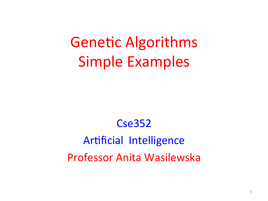**Genetic Algorithms** Simple Examples

#### Cse352

### Artificial Intelligence Professor Anita Wasilewska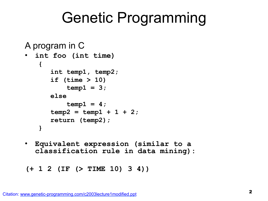### Genetic Programming

```
A program in C
• int foo (int time) 
    { 
        int temp1, temp2; 
        if (time > 10) 
           temp1 = 3; else 
           temp1 = 4;temp2 = temp1 + 1 + 2; return (temp2); 
    } 
• Equivalent expression (similar to a
```
**classification rule in data mining):** 

```
(+ 1 2 (IF (> TIME 10) 3 4))
```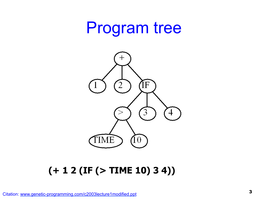### Program tree



#### **(+ 1 2 (IF (> TIME 10) 3 4))**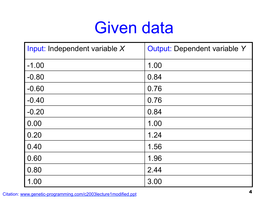## Given data

| Input: Independent variable X | <b>Output: Dependent variable Y</b> |
|-------------------------------|-------------------------------------|
| $-1.00$                       | 1.00                                |
| $-0.80$                       | 0.84                                |
| $-0.60$                       | 0.76                                |
| $-0.40$                       | 0.76                                |
| $-0.20$                       | 0.84                                |
| 0.00                          | 1.00                                |
| 0.20                          | 1.24                                |
| 0.40                          | 1.56                                |
| 0.60                          | 1.96                                |
| 0.80                          | 2.44                                |
| 1.00                          | 3.00                                |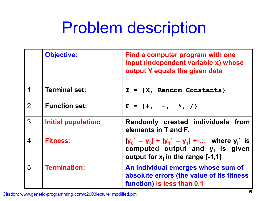# Problem description

|                  | <b>Objective:</b>    | Find a computer program with one<br>input (independent variable x) whose<br>output Y equals the given data                 |
|------------------|----------------------|----------------------------------------------------------------------------------------------------------------------------|
|                  | <b>Terminal set:</b> | $T = \{X, Random-Constants\}$                                                                                              |
| 2                | <b>Function set:</b> | $F = \{+, -1, *1, / \}$                                                                                                    |
| 3                | Initial population:  | Randomly created individuals from<br>elements in T and F.                                                                  |
| $\boldsymbol{4}$ | <b>Fitness:</b>      | $ y_0' - y_0  +  y_1' - y_1  + $ where y' is<br>computed output and $y_i$ is given<br>output for $x_i$ in the range [-1,1] |
| 5                | <b>Termination:</b>  | An individual emerges whose sum of<br>absolute errors (the value of its fitness<br>function) is less than 0.1              |

<sup>5</sup>Citation: www.genetic-programming.com/c2003lecture1modified.ppt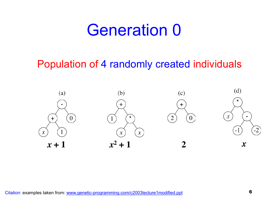### Generation 0

#### Population of 4 randomly created individuals

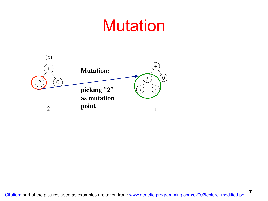## **Mutation**

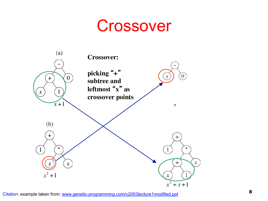### Crossover

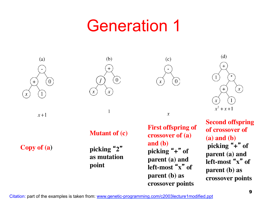## Generation 1



 $x+1$ 





**First offspring of crossover of (a) and (b) picking** " **+** " **of parent (a) and left-most** " **x** " **of parent (b) as crossover points**



**Second offspring of crossover of (a) and (b) picking** " **+** " **of parent (a) and left-most** " **x** " **of parent (b) as crossover points**

#### **Mutant of (c)**

**Copy of (a)**

**picking** "**2**" **as mutation point**

 $\mathbf{1}$  $\boldsymbol{x}$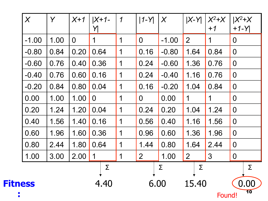|                | $\chi$  | Y    | $X+1$          | $ X+1-$<br>Y   | $\boldsymbol{\mathcal{1}}$ | $1 - Y$        | $\chi$  | $X-Y$          | $X^2+X$<br>$+1$ | $X^2+X$<br>$+1-Y$ |
|----------------|---------|------|----------------|----------------|----------------------------|----------------|---------|----------------|-----------------|-------------------|
|                | $-1.00$ | 1.00 | $\overline{0}$ | 1              | $\mathbf 1$                | $\overline{O}$ | $-1.00$ | $\overline{2}$ | 1               | $\overline{0}$    |
|                | $-0.80$ | 0.84 | 0.20           | 0.64           | 1                          | 0.16           | $-0.80$ | 1.64           | 0.84            | $\mathbf 0$       |
|                | $-0.60$ | 0.76 | 0.40           | 0.36           | 1                          | 0.24           | $-0.60$ | 1.36           | 0.76            | $\overline{0}$    |
|                | $-0.40$ | 0.76 | 0.60           | 0.16           | 1                          | 0.24           | $-0.40$ | 1.16           | 0.76            | $\overline{0}$    |
|                | $-0.20$ | 0.84 | 0.80           | 0.04           | 1                          | 0.16           | $-0.20$ | 1.04           | 0.84            | $\overline{0}$    |
|                | 0.00    | 1.00 | 1.00           | $\overline{0}$ | 1                          | $\overline{0}$ | 0.00    | $\mathbf 1$    | 1               | $\overline{0}$    |
|                | 0.20    | 1.24 | 1.20           | 0.04           | 1                          | 0.24           | 0.20    | 1.04           | 1.24            | $\overline{0}$    |
|                | 0.40    | 1.56 | 1.40           | 0.16           | 1                          | 0.56           | 0.40    | 1.16           | 1.56            | $\overline{0}$    |
|                | 0.60    | 1.96 | 1.60           | 0.36           | 1                          | 0.96           | 0.60    | 1.36           | 1.96            | $\overline{0}$    |
|                | 0.80    | 2.44 | 1.80           | 0.64           | 1                          | 1.44           | 0.80    | 1.64           | 2.44            | $\overline{0}$    |
|                | 1.00    | 3.00 | 2.00           | $\overline{1}$ | $\mathbf 1$                | 2 <sup>1</sup> | 1.00    | $\mathbf{2}$   | $\mathfrak{S}$  | $\overline{0}$    |
|                |         |      |                | Σ              |                            |                | Σ       | Σ              |                 | Σ                 |
| <b>Fitness</b> |         |      |                | 4.40           |                            | 6.00           |         | 15.40          | Found!          | 0.00<br>10        |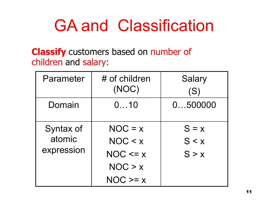## GA and Classification

#### **Classify** customers based on number of children and salary:

| Parameter                         | # of children<br>(NOC)                                        | <b>Salary</b><br>(S)      |  |
|-----------------------------------|---------------------------------------------------------------|---------------------------|--|
| Domain                            | 010                                                           | 0500000                   |  |
| Syntax of<br>atomic<br>expression | $NOC = x$<br>NOC < x<br>$NOC \le x$<br>NOC > x<br>$NOC \ge x$ | $S = x$<br>S < x<br>S > x |  |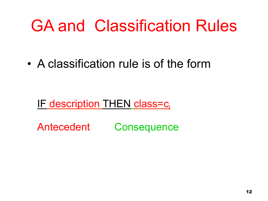# GA and Classification Rules

• A classification rule is of the form

IF description THEN class=c.

Antecedent Consequence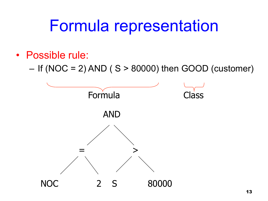## Formula representation

#### • Possible rule:

– If (NOC = 2) AND ( $S > 80000$ ) then GOOD (customer)

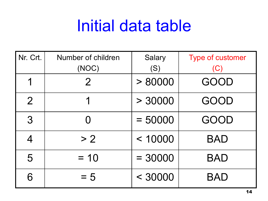# Initial data table

| Nr. Crt.       | Number of children<br>(NOC) | <b>Salary</b><br>(S) | <b>Type of customer</b><br>(C) |  |
|----------------|-----------------------------|----------------------|--------------------------------|--|
| 1              | $\overline{2}$              | > 80000              | GOOD                           |  |
| $\overline{2}$ | 1                           | > 30000              | GOOD                           |  |
| 3              | Ω                           | $= 50000$            | GOOD                           |  |
| 4              | > 2                         | < 10000              | BAD                            |  |
| 5              | $= 10$                      | $= 30000$            | <b>BAD</b>                     |  |
| 6              | $= 5$                       | < 30000              | <b>BAD</b>                     |  |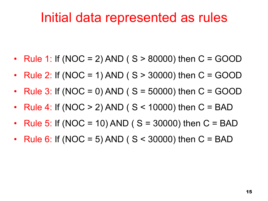### Initial data represented as rules

- Rule 1: If (NOC = 2) AND ( $S > 80000$ ) then C = GOOD
- Rule 2: If (NOC = 1) AND ( $S > 30000$ ) then C = GOOD
- Rule 3: If (NOC = 0) AND ( $S = 50000$ ) then C = GOOD
- Rule 4: If (NOC  $> 2$ ) AND ( $S < 10000$ ) then  $C = BAD$
- Rule 5: If (NOC = 10) AND (  $S = 30000$ ) then  $C = BAD$
- Rule 6: If (NOC = 5) AND ( $S < 30000$ ) then  $C = BAD$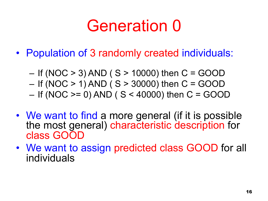# Generation 0

- Population of 3 randomly created individuals:
	- If (NOC  $> 3$ ) AND ( S  $> 10000$ ) then C = GOOD
	- $-$  If (NOC  $> 1$ ) AND (S  $> 30000$ ) then C = GOOD
	- $-$  If (NOC  $>= 0$ ) AND ( S < 40000) then C = GOOD
- We want to find a more general (if it is possible the most general) characteristic description for class GOOD
- We want to assign predicted class GOOD for all individuals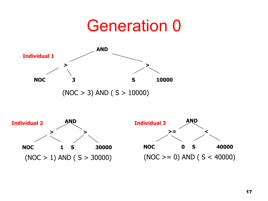### Generation 0



 $(NOC > 3)$  AND  $(S > 10000)$ 



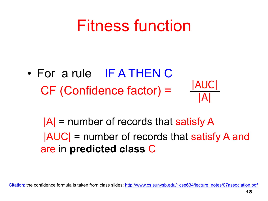## Fitness function

• For a rule IF A THEN C CF (Confidence factor) = |AUC| |A|

 $|A|$  = number of records that satisfy A |AUC| = number of records that satisfy A and are in **predicted class** C

Citation: the confidence formula is taken from class slides: http://www.cs.sunysb.edu/~cse634/lecture\_notes/07association.pdf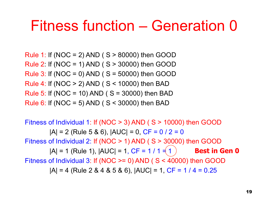### Fitness function – Generation 0

Rule 1: If (NOC = 2) AND ( $S > 80000$ ) then GOOD Rule 2: If (NOC = 1) AND ( S > 30000) then GOOD Rule 3: If (NOC = 0) AND ( $S = 50000$ ) then GOOD Rule 4: If (NOC > 2) AND ( S < 10000) then BAD Rule 5: If (NOC = 10) AND ( $S = 30000$ ) then BAD Rule 6: If (NOC = 5) AND ( $S < 30000$ ) then BAD

Fitness of Individual 1: If (NOC > 3) AND ( S > 10000) then GOOD  $|A| = 2$  (Rule 5 & 6),  $|AUC| = 0$ ,  $CF = 0 / 2 = 0$ Fitness of Individual 2: If (NOC > 1) AND ( S > 30000) then GOOD  $|A| = 1$  (Rule 1),  $|AUC| = 1$ ,  $CF = 1 / 1 = (1)$ Fitness of Individual 3: If (NOC >= 0) AND ( S < 40000) then GOOD  $|A| = 4$  (Rule 2 & 4 & 5 & 6),  $|AUC| = 1$ ,  $CF = 1 / 4 = 0.25$ **Best in Gen 0**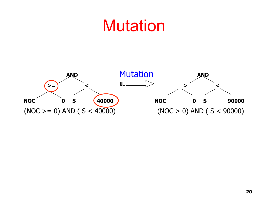## Mutation

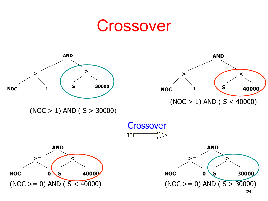### Crossover

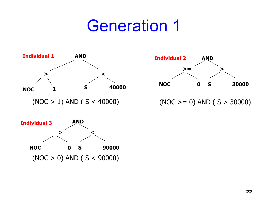## Generation 1







 $(NOC \ge 0)$  AND  $(S > 30000)$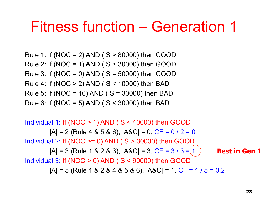### Fitness function – Generation 1

Rule 1: If (NOC = 2) AND ( S > 80000) then GOOD Rule 2: If (NOC = 1) AND ( S > 30000) then GOOD Rule 3: If (NOC = 0) AND ( $S = 50000$ ) then GOOD Rule 4: If (NOC > 2) AND ( S < 10000) then BAD Rule 5: If (NOC = 10) AND ( $S = 30000$ ) then BAD Rule 6: If (NOC = 5) AND ( $S < 30000$ ) then BAD

Individual 1: If (NOC  $>$  1) AND ( S  $<$  40000) then GOOD  $|A| = 2$  (Rule 4 & 5 & 6),  $|A < C| = 0$ ,  $CF = 0 / 2 = 0$ Individual 2: If (NOC  $>= 0$ ) AND ( S  $> 30000$ ) then GOOD  $|A| = 3$  (Rule 1 & 2 & 3),  $|AAC| = 3$ , CF = 3 / 3 = (1 Individual 3: If (NOC  $>$  0) AND ( $S$  < 90000) then GOOD  $|A| = 5$  (Rule 1 & 2 & 4 & 5 & 6),  $|A$ &C $| = 1$ , CF = 1 / 5 = 0.2 **Best in Gen 1**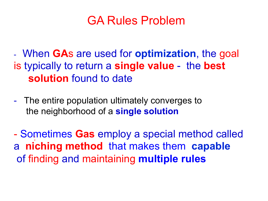### GA Rules Problem

- When **GA**s are used for **optimization**, the goal is typically to return a **single value** - the **best solution** found to date

- The entire population ultimately converges to the neighborhood of a **single solution** 

- Sometimes **Gas** employ a special method called : a **niching method** that makes them **capable**  of finding and maintaining **multiple rules**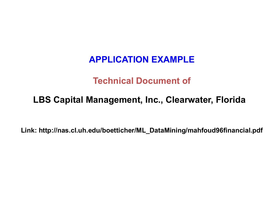#### **APPLICATION EXAMPLE**

#### **Technical Document of**

#### **LBS Capital Management, Inc., Clearwater, Florida**

**Link: http://nas.cl.uh.edu/boetticher/ML\_DataMining/mahfoud96financial.pdf**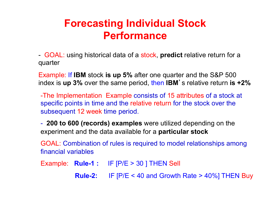### **Forecasting Individual Stock Performance**

- GOAL: using historical data of a stock, **predict** relative return for a quarter

Example: If **IBM** stock **is up 5%** after one quarter and the S&P 500 index is **up 3%** over the same period, then **IBM**'s relative return **is +2%** 

-The Implementation Example consists of 15 attributes of a stock at specific points in time and the relative return for the stock over the subsequent 12 week time period.

- **200 to 600 (records) examples** were utilized depending on the experiment and the data available for a **particular stock** 

GOAL: Combination of rules is required to model relationships among financial variables

Example: **Rule-1 :** IF [P/E > 30 ] THEN Sell

**Rule-2:** IF [P/E < 40 and Growth Rate > 40%] THEN Buy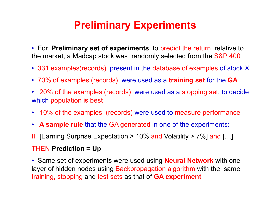### **Preliminary Experiments**

• For **Preliminary set of experiments**, to predict the return, relative to the market, a Madcap stock was randomly selected from the S&P 400

- 331 examples(records) present in the database of examples of stock X
- 70% of examples (records) were used as a **training set** for the **GA**
- 20% of the examples (records) were used as a stopping set, to decide which population is best
- 10% of the examples (records) were used to measure performance
- **A sample rule** that the GA generated in one of the experiments:
- IF [Earning Surprise Expectation > 10% and Volatility > 7%] and […]

#### THEN **Prediction = Up**

• Same set of experiments were used using **Neural Network** with one layer of hidden nodes using Backpropagation algorithm with the same training, stopping and test sets as that of **GA experiment**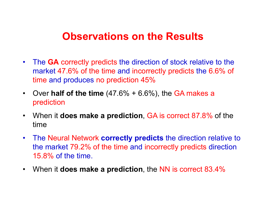#### **Observations on the Results**

- The **GA** correctly predicts the direction of stock relative to the market 47.6% of the time and incorrectly predicts the 6.6% of time and produces no prediction 45%
- Over **half of the time** (47.6% + 6.6%), the GA makes a prediction
- When it **does make a prediction**, GA is correct 87.8% of the time
- The Neural Network **correctly predicts** the direction relative to the market 79.2% of the time and incorrectly predicts direction 15.8% of the time.
- When it **does make a prediction**, the NN is correct 83.4%